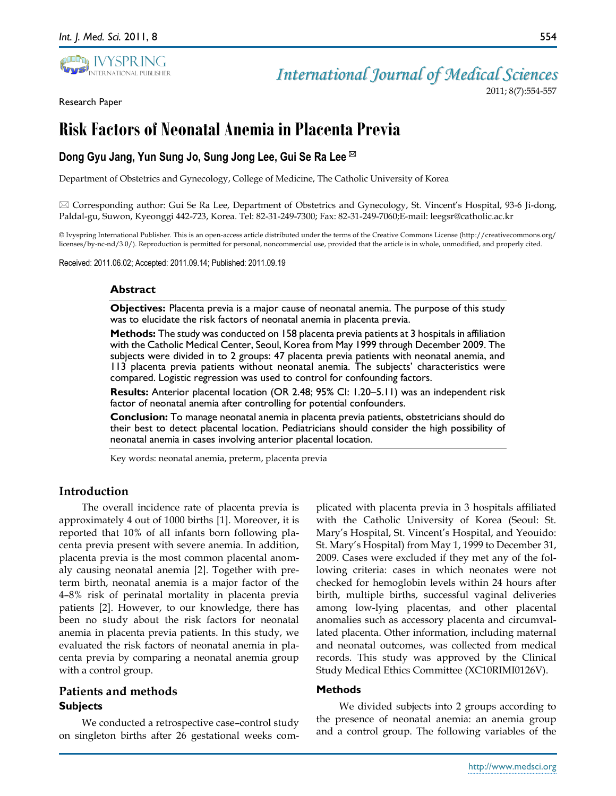Research Paper



2011; 8(7):554-557

554

# **Risk Factors of Neonatal Anemia in Placenta Previa**

# **Dong Gyu Jang, Yun Sung Jo, Sung Jong Lee, Gui Se Ra Lee**

Department of Obstetrics and Gynecology, College of Medicine, The Catholic University of Korea

 $\boxtimes$  Corresponding author: Gui Se Ra Lee, Department of Obstetrics and Gynecology, St. Vincent's Hospital, 93-6 Ji-dong, Paldal-gu, Suwon, Kyeonggi 442-723, Korea. Tel: 82-31-249-7300; Fax: 82-31-249-7060;E-mail: leegsr@catholic.ac.kr

© Ivyspring International Publisher. This is an open-access article distributed under the terms of the Creative Commons License (http://creativecommons.org/ licenses/by-nc-nd/3.0/). Reproduction is permitted for personal, noncommercial use, provided that the article is in whole, unmodified, and properly cited.

Received: 2011.06.02; Accepted: 2011.09.14; Published: 2011.09.19

#### **Abstract**

**Objectives:** Placenta previa is a major cause of neonatal anemia. The purpose of this study was to elucidate the risk factors of neonatal anemia in placenta previa.

**Methods:** The study was conducted on 158 placenta previa patients at 3 hospitals in affiliation with the Catholic Medical Center, Seoul, Korea from May 1999 through December 2009. The subjects were divided in to 2 groups: 47 placenta previa patients with neonatal anemia, and 113 placenta previa patients without neonatal anemia. The subjects' characteristics were compared. Logistic regression was used to control for confounding factors.

**Results:** Anterior placental location (OR 2.48; 95% CI: 1.20–5.11) was an independent risk factor of neonatal anemia after controlling for potential confounders.

**Conclusion:** To manage neonatal anemia in placenta previa patients, obstetricians should do their best to detect placental location. Pediatricians should consider the high possibility of neonatal anemia in cases involving anterior placental location.

Key words: neonatal anemia, preterm, placenta previa

## **Introduction**

The overall incidence rate of placenta previa is approximately 4 out of 1000 births [1]. Moreover, it is reported that 10% of all infants born following placenta previa present with severe anemia. In addition, placenta previa is the most common placental anomaly causing neonatal anemia [2]. Together with preterm birth, neonatal anemia is a major factor of the 4–8% risk of perinatal mortality in placenta previa patients [2]. However, to our knowledge, there has been no study about the risk factors for neonatal anemia in placenta previa patients. In this study, we evaluated the risk factors of neonatal anemia in placenta previa by comparing a neonatal anemia group with a control group.

# **Patients and methods Subjects**

We conducted a retrospective case–control study on singleton births after 26 gestational weeks complicated with placenta previa in 3 hospitals affiliated with the Catholic University of Korea (Seoul: St. Mary's Hospital, St. Vincent's Hospital, and Yeouido: St. Mary's Hospital) from May 1, 1999 to December 31, 2009. Cases were excluded if they met any of the following criteria: cases in which neonates were not checked for hemoglobin levels within 24 hours after birth, multiple births, successful vaginal deliveries among low-lying placentas, and other placental anomalies such as accessory placenta and circumvallated placenta. Other information, including maternal and neonatal outcomes, was collected from medical records. This study was approved by the Clinical Study Medical Ethics Committee (XC10RIMI0126V).

#### **Methods**

We divided subjects into 2 groups according to the presence of neonatal anemia: an anemia group and a control group. The following variables of the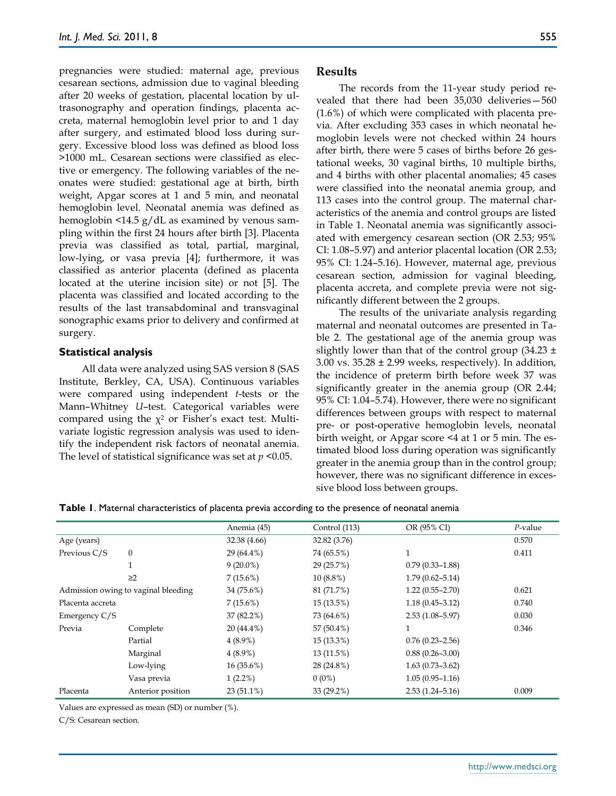pregnancies were studied: maternal age, previous cesarean sections, admission due to vaginal bleeding after 20 weeks of gestation, placental location by ultrasonography and operation findings, placenta accreta, maternal hemoglobin level prior to and 1 day after surgery, and estimated blood loss during surgery. Excessive blood loss was defined as blood loss >1000 mL. Cesarean sections were classified as elective or emergency. The following variables of the neonates were studied: gestational age at birth, birth weight, Apgar scores at 1 and 5 min, and neonatal hemoglobin level. Neonatal anemia was defined as hemoglobin <14.5 g/dL as examined by venous sampling within the first 24 hours after birth [3]. Placenta previa was classified as total, partial, marginal, low-lying, or vasa previa [4]; furthermore, it was classified as anterior placenta (defined as placenta located at the uterine incision site) or not [5]. The placenta was classified and located according to the results of the last transabdominal and transvaginal sonographic exams prior to delivery and confirmed at surgery.

#### **Statistical analysis**

All data were analyzed using SAS version 8 (SAS Institute, Berkley, CA, USA). Continuous variables were compared using independent *t*-tests or the Mann–Whitney *U*–test. Categorical variables were compared using the  $\chi^2$  or Fisher's exact test. Multivariate logistic regression analysis was used to identify the independent risk factors of neonatal anemia. The level of statistical significance was set at *p* <0.05.

#### **Results**

The records from the 11-year study period revealed that there had been 35,030 deliveries—560 (1.6%) of which were complicated with placenta previa. After excluding 353 cases in which neonatal hemoglobin levels were not checked within 24 hours after birth, there were 5 cases of births before 26 gestational weeks, 30 vaginal births, 10 multiple births, and 4 births with other placental anomalies; 45 cases were classified into the neonatal anemia group, and 113 cases into the control group. The maternal characteristics of the anemia and control groups are listed in Table 1. Neonatal anemia was significantly associated with emergency cesarean section (OR 2.53; 95% CI: 1.08–5.97) and anterior placental location (OR 2.53; 95% CI: 1.24–5.16). However, maternal age, previous cesarean section, admission for vaginal bleeding, placenta accreta, and complete previa were not significantly different between the 2 groups.

The results of the univariate analysis regarding maternal and neonatal outcomes are presented in Table 2. The gestational age of the anemia group was slightly lower than that of the control group (34.23  $\pm$ 3.00 vs.  $35.28 \pm 2.99$  weeks, respectively). In addition, the incidence of preterm birth before week 37 was significantly greater in the anemia group (OR 2.44; 95% CI: 1.04–5.74). However, there were no significant differences between groups with respect to maternal pre- or post-operative hemoglobin levels, neonatal birth weight, or Apgar score <4 at 1 or 5 min. The estimated blood loss during operation was significantly greater in the anemia group than in the control group; however, there was no significant difference in excessive blood loss between groups.

**Table 1**. Maternal characteristics of placenta previa according to the presence of neonatal anemia

|                                     |                   | Anemia (45)  | Control (113) | OR (95% CI)         | $P$ -value |
|-------------------------------------|-------------------|--------------|---------------|---------------------|------------|
| Age (years)                         |                   | 32.38 (4.66) | 32.82 (3.76)  |                     | 0.570      |
| Previous C/S                        | $\mathbf{0}$      | 29 (64.4%)   | 74 (65.5%)    | $\mathbf{1}$        | 0.411      |
|                                     | 1                 | $9(20.0\%)$  | 29 (25.7%)    | $0.79(0.33 - 1.88)$ |            |
|                                     | $\geq$ 2          | 7(15.6%)     | $10(8.8\%)$   | $1.79(0.62 - 5.14)$ |            |
| Admission owing to vaginal bleeding |                   | 34 (75.6%)   | 81 (71.7%)    | $1.22(0.55 - 2.70)$ | 0.621      |
| Placenta accreta                    |                   | 7(15.6%)     | 15 (13.5%)    | $1.18(0.45 - 3.12)$ | 0.740      |
| Emergency C/S                       |                   | 37 (82.2%)   | 73 (64.6%)    | $2.53(1.08 - 5.97)$ | 0.030      |
| Previa                              | Complete          | 20 (44.4%)   | 57 (50.4%)    | 1                   | 0.346      |
|                                     | Partial           | $4(8.9\%)$   | $15(13.3\%)$  | $0.76(0.23 - 2.56)$ |            |
|                                     | Marginal          | $4(8.9\%)$   | 13(11.5%)     | $0.88(0.26 - 3.00)$ |            |
|                                     | Low-lying         | $16(35.6\%)$ | 28 (24.8%)    | $1.63(0.73 - 3.62)$ |            |
|                                     | Vasa previa       | $1(2.2\%)$   | $0(0\%)$      | $1.05(0.95 - 1.16)$ |            |
| Placenta                            | Anterior position | $23(51.1\%)$ | 33 (29.2%)    | $2.53(1.24 - 5.16)$ | 0.009      |

Values are expressed as mean (SD) or number (%).

C/S: Cesarean section.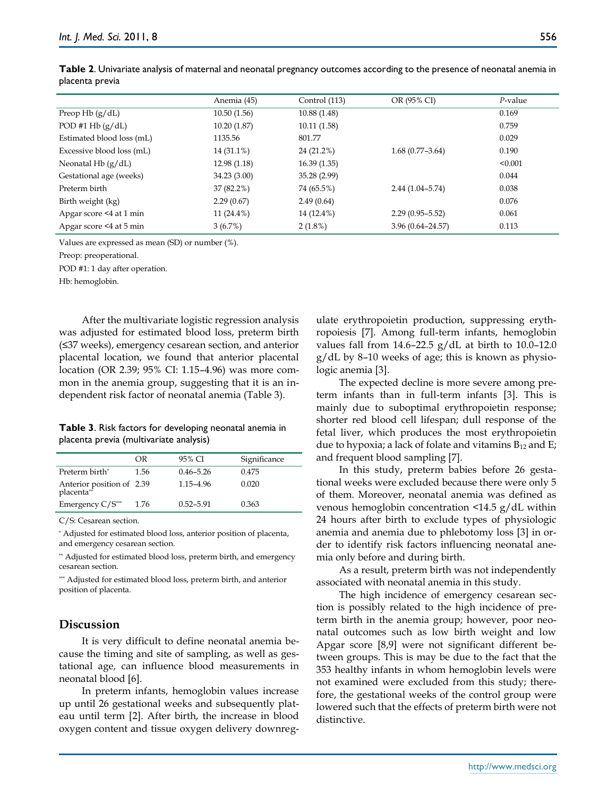|                           | Anemia (45)   | Control (113) | OR (95% CI)          | $P$ -value |
|---------------------------|---------------|---------------|----------------------|------------|
| Preop Hb $(g/dL)$         | 10.50(1.56)   | 10.88(1.48)   |                      | 0.169      |
| POD #1 Hb $(g/dL)$        | 10.20(1.87)   | 10.11(1.58)   |                      | 0.759      |
| Estimated blood loss (mL) | 1135.56       | 801.77        |                      | 0.029      |
| Excessive blood loss (mL) | 14 (31.1%)    | 24 (21.2%)    | $1.68(0.77-3.64)$    | 0.190      |
| Neonatal Hb $(g/dL)$      | 12.98 (1.18)  | 16.39(1.35)   |                      | < 0.001    |
| Gestational age (weeks)   | 34.23 (3.00)  | 35.28 (2.99)  |                      | 0.044      |
| Preterm birth             | 37 (82.2%)    | 74 (65.5%)    | $2.44(1.04 - 5.74)$  | 0.038      |
| Birth weight (kg)         | 2.29(0.67)    | 2.49(0.64)    |                      | 0.076      |
| Apgar score <4 at 1 min   | 11 $(24.4\%)$ | 14 (12.4%)    | $2.29(0.95 - 5.52)$  | 0.061      |
| Apgar score <4 at 5 min   | 3(6.7%)       | $2(1.8\%)$    | $3.96(0.64 - 24.57)$ | 0.113      |

**Table 2**. Univariate analysis of maternal and neonatal pregnancy outcomes according to the presence of neonatal anemia in placenta previa

Values are expressed as mean (SD) or number (%).

Preop: preoperational.

POD #1: 1 day after operation.

Hb: hemoglobin.

After the multivariate logistic regression analysis was adjusted for estimated blood loss, preterm birth (≤37 weeks), emergency cesarean section, and anterior placental location, we found that anterior placental location (OR 2.39; 95% CI: 1.15–4.96) was more common in the anemia group, suggesting that it is an independent risk factor of neonatal anemia (Table 3).

**Table 3**. Risk factors for developing neonatal anemia in placenta previa (multivariate analysis)

|                                         | OR   | 95% CI        | Significance |
|-----------------------------------------|------|---------------|--------------|
| Preterm birth*                          | 1.56 | $0.46 - 5.26$ | 0.475        |
| Anterior position of 2.39<br>placenta** |      | 1.15-4.96     | 0.020        |
| Emergency $C/S^{***}$                   | 1.76 | $0.52 - 5.91$ | 0.363        |

C/S: Cesarean section.

\* Adjusted for estimated blood loss, anterior position of placenta, and emergency cesarean section.

\*\* Adjusted for estimated blood loss, preterm birth, and emergency cesarean section.

\*\*\* Adjusted for estimated blood loss, preterm birth, and anterior position of placenta.

# **Discussion**

It is very difficult to define neonatal anemia because the timing and site of sampling, as well as gestational age, can influence blood measurements in neonatal blood [6].

In preterm infants, hemoglobin values increase up until 26 gestational weeks and subsequently plateau until term [2]. After birth, the increase in blood oxygen content and tissue oxygen delivery downregulate erythropoietin production, suppressing erythropoiesis [7]. Among full-term infants, hemoglobin values fall from  $14.6-22.5$  g/dL at birth to  $10.0-12.0$ g/dL by 8–10 weeks of age; this is known as physiologic anemia [3].

The expected decline is more severe among preterm infants than in full-term infants [3]. This is mainly due to suboptimal erythropoietin response; shorter red blood cell lifespan; dull response of the fetal liver, which produces the most erythropoietin due to hypoxia; a lack of folate and vitamins  $B_{12}$  and E; and frequent blood sampling [7].

In this study, preterm babies before 26 gestational weeks were excluded because there were only 5 of them. Moreover, neonatal anemia was defined as venous hemoglobin concentration <14.5 g/dL within 24 hours after birth to exclude types of physiologic anemia and anemia due to phlebotomy loss [3] in order to identify risk factors influencing neonatal anemia only before and during birth.

As a result, preterm birth was not independently associated with neonatal anemia in this study.

The high incidence of emergency cesarean section is possibly related to the high incidence of preterm birth in the anemia group; however, poor neonatal outcomes such as low birth weight and low Apgar score [8,9] were not significant different between groups. This is may be due to the fact that the 353 healthy infants in whom hemoglobin levels were not examined were excluded from this study; therefore, the gestational weeks of the control group were lowered such that the effects of preterm birth were not distinctive.